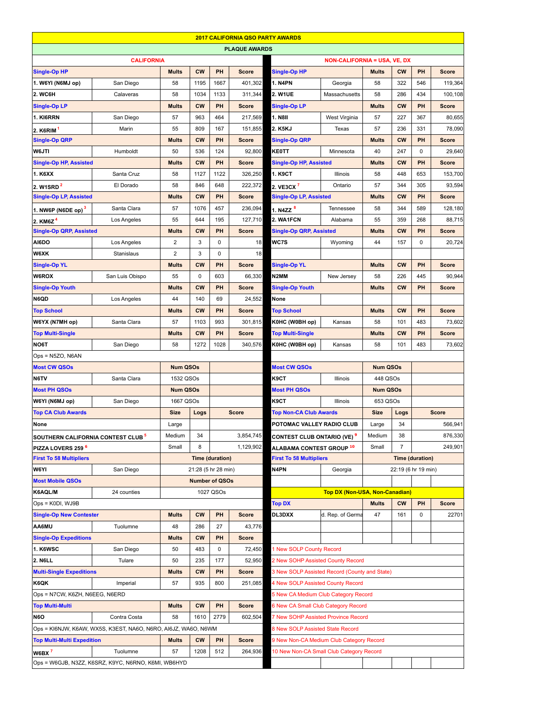| <b>2017 CALIFORNIA QSO PARTY AWARDS</b>                                              |                                                     |                 |           |                       |                                                          |                                                                       |                                  |                 |                                        |             |              |  |
|--------------------------------------------------------------------------------------|-----------------------------------------------------|-----------------|-----------|-----------------------|----------------------------------------------------------|-----------------------------------------------------------------------|----------------------------------|-----------------|----------------------------------------|-------------|--------------|--|
|                                                                                      |                                                     |                 |           |                       | <b>PLAQUE AWARDS</b>                                     |                                                                       |                                  |                 |                                        |             |              |  |
|                                                                                      | <b>CALIFORNIA</b>                                   |                 |           |                       | <b>NON-CALIFORNIA = USA, VE, DX</b>                      |                                                                       |                                  |                 |                                        |             |              |  |
| <b>Single-Op HP</b>                                                                  |                                                     | <b>Mults</b>    | <b>CW</b> | PH                    | <b>Score</b>                                             | <b>Single-Op HP</b>                                                   |                                  | <b>Mults</b>    | <b>CW</b>                              | PH          | <b>Score</b> |  |
| 1. W6YI (N6MJ op)                                                                    | San Diego                                           | 58              | 1195      | 1667                  | 401,302                                                  | 1. N4PN                                                               | Georgia                          | 58              | 322                                    | 546         | 119,364      |  |
| 2. WC6H                                                                              | Calaveras                                           | 58              | 1034      | 1133                  | 311,344                                                  | 2. W1UE<br>Massachusetts                                              |                                  | 58              | 286                                    | 434         | 100,108      |  |
| <b>Single-Op LP</b>                                                                  |                                                     | <b>Mults</b>    | <b>CW</b> | PH                    | <b>Score</b>                                             | <b>Single-Op LP</b>                                                   |                                  | <b>Mults</b>    | <b>CW</b>                              | PH          | <b>Score</b> |  |
| 1. KI6RRN                                                                            | San Diego                                           | 57              | 963       | 464                   | 217,569                                                  | 1. N8II                                                               | West Virginia                    | 57              | 227                                    | 367         | 80,655       |  |
| 2. K6RIM                                                                             | Marin                                               | 55              | 809       | 167                   | 151,855                                                  | 2. K5KJ<br>Texas                                                      |                                  | 57              | 236                                    | 331         | 78,090       |  |
| <b>Single-Op QRP</b>                                                                 |                                                     | <b>Mults</b>    | <b>CW</b> | PH                    | <b>Score</b>                                             | <b>Single-Op QRP</b>                                                  |                                  | <b>Mults</b>    | <b>CW</b>                              | PH          | <b>Score</b> |  |
| W6JTI                                                                                | Humboldt                                            | 50              | 536       | 124                   | 92,800                                                   | <b>KE0TT</b><br>Minnesota                                             |                                  | 40              | 247                                    | $\mathbf 0$ | 29,640       |  |
| <b>Single-Op HP, Assisted</b>                                                        |                                                     | <b>Mults</b>    | <b>CW</b> | PH                    | <b>Score</b>                                             | <b>Single-Op HP, Assisted</b>                                         |                                  | <b>Mults</b>    | <b>CW</b>                              | PH          | <b>Score</b> |  |
| 1. K6XX                                                                              | Santa Cruz                                          | 58              | 1127      | 1122                  | 326,250                                                  | 1. K9CT<br>Illinois                                                   |                                  | 58              | 448                                    | 653         | 153,700      |  |
| 2. W1SRD $^2$                                                                        | El Dorado                                           | 58              | 846       | 648                   | 222,372                                                  | Ontario<br>2. VE3CX <sup>7</sup>                                      |                                  | 57              | 344                                    | 305         | 93,594       |  |
| <b>Single-Op LP, Assisted</b>                                                        |                                                     | <b>Mults</b>    | <b>CW</b> | PH                    | <b>Score</b>                                             | <b>Single-Op LP, Assisted</b>                                         |                                  | <b>Mults</b>    | <b>CW</b>                              | PH          | <b>Score</b> |  |
| 1. NW6P (N6DE op) <sup>3</sup>                                                       | Santa Clara                                         | 57              | 1076      | 457                   | 236,094                                                  | 1. N4ZZ <sup>8</sup>                                                  | Tennessee                        | 58              | 344                                    | 589         | 128,180      |  |
| 2. KM6Z <sup>4</sup>                                                                 | Los Angeles                                         | 55              | 644       | 195                   | 127,710                                                  | 2. WA1FCN                                                             | Alabama                          | 55              | 359                                    | 268         | 88,715       |  |
| <b>Single-Op QRP, Assisted</b>                                                       |                                                     | <b>Mults</b>    | <b>CW</b> | PH                    | <b>Score</b>                                             | <b>Single-Op QRP, Assisted</b>                                        |                                  | <b>Mults</b>    | <b>CW</b>                              | PH          | <b>Score</b> |  |
| AI6DO                                                                                | Los Angeles                                         | $\mathbf 2$     | 3         | $\mathbf 0$           | 18                                                       | WC7S<br>Wyoming                                                       |                                  | 44              | 157                                    | $\mathbf 0$ | 20,724       |  |
| W6XK                                                                                 | Stanislaus                                          | $\overline{2}$  | 3         | $\mathbf 0$           | 18                                                       |                                                                       |                                  |                 |                                        |             |              |  |
| <b>Single-Op YL</b>                                                                  |                                                     | <b>Mults</b>    | <b>CW</b> | PH                    | <b>Score</b>                                             | Single-Op YL                                                          |                                  | <b>Mults</b>    | <b>CW</b>                              | PH          | <b>Score</b> |  |
| <b>W6ROX</b>                                                                         | San Luis Obispo                                     | 55              | 0         | 603                   | 66,330                                                   | N2MM<br>New Jersev                                                    |                                  | 58              | 226                                    | 445         | 90,944       |  |
| <b>Single-Op Youth</b>                                                               |                                                     | <b>Mults</b>    | <b>CW</b> | PH                    | <b>Score</b>                                             | <b>Single-Op Youth</b>                                                |                                  | <b>Mults</b>    | <b>CW</b>                              | PH          | <b>Score</b> |  |
| N6QD                                                                                 | Los Angeles                                         | 44              | 140       | 69                    | 24,552                                                   | None                                                                  |                                  |                 |                                        |             |              |  |
| <b>Top School</b>                                                                    |                                                     | <b>Mults</b>    | <b>CW</b> | PH                    | <b>Score</b>                                             | <b>Top School</b>                                                     |                                  | <b>Mults</b>    | <b>CW</b>                              | PH          | <b>Score</b> |  |
| W6YX (N7MH op)                                                                       | Santa Clara                                         | 57              | 1103      | 993                   | 301,815                                                  | K0HC (W0BH op)<br>Kansas                                              |                                  | 58              | 101                                    | 483         | 73,602       |  |
| <b>Top Multi-Single</b>                                                              |                                                     | <b>Mults</b>    | <b>CW</b> | PH                    | <b>Score</b>                                             | <b>Top Multi-Single</b>                                               |                                  | <b>Mults</b>    | <b>CW</b>                              | PH          | <b>Score</b> |  |
| NO6T                                                                                 | San Diego                                           | 58              | 1272      | 1028                  | 340,576                                                  | K0HC (W0BH op)                                                        | Kansas                           | 58              | 101                                    | 483         | 73,602       |  |
| Ops = N5ZO, N6AN                                                                     |                                                     |                 |           |                       |                                                          |                                                                       |                                  |                 |                                        |             |              |  |
| <b>Most CW QSOs</b>                                                                  |                                                     | <b>Num QSOs</b> |           |                       |                                                          | <b>Most CW QSOs</b><br><b>Num QSOs</b>                                |                                  |                 |                                        |             |              |  |
| N6TV                                                                                 | Santa Clara                                         | 1532 QSOs       |           |                       |                                                          | K9CT<br>Illinois                                                      |                                  | 448 QSOs        |                                        |             |              |  |
| <b>Most PH QSOs</b>                                                                  |                                                     | <b>Num QSOs</b> |           |                       |                                                          | <b>Most PH QSOs</b>                                                   |                                  | <b>Num QSOs</b> |                                        |             |              |  |
| W6YI (N6MJ op)                                                                       | San Diego                                           | 1667 QSOs       |           |                       |                                                          | К9СТ<br>Illinois                                                      |                                  | 653 QSOs        |                                        |             |              |  |
| <b>Top CA Club Awards</b>                                                            |                                                     | <b>Size</b>     | Logs      |                       | <b>Score</b>                                             |                                                                       |                                  | <b>Size</b>     | Logs                                   |             | <b>Score</b> |  |
|                                                                                      |                                                     | Large           |           |                       |                                                          | <b>Top Non-CA Club Awards</b>                                         |                                  | Large           | 34                                     |             | 566,941      |  |
| None                                                                                 |                                                     | Medium          | 34        |                       | 3,854,745                                                | POTOMAC VALLEY RADIO CLUB                                             |                                  | Medium          | 38                                     |             | 876,330      |  |
| SOUTHERN CALIFORNIA CONTEST CLUB °                                                   |                                                     |                 | 8         |                       |                                                          | CONTEST CLUB ONTARIO (VE) <sup>5</sup>                                |                                  |                 | $\overline{7}$                         |             |              |  |
| PIZZA LOVERS 259 <sup>6</sup>                                                        |                                                     | Small           |           | Time (duration)       | 1,129,902                                                | ALABAMA CONTEST GROUP <sup>10</sup><br><b>First To 58 Multipliers</b> |                                  | Small           |                                        | 249,901     |              |  |
| <b>First To 58 Multipliers</b>                                                       |                                                     |                 |           |                       |                                                          |                                                                       |                                  |                 | Time (duration)<br>22:19 (6 hr 19 min) |             |              |  |
| W6YI                                                                                 | San Diego                                           |                 |           | 21:28 (5 hr 28 min)   |                                                          |                                                                       | N4PN<br>Georgia                  |                 |                                        |             |              |  |
| <b>Most Mobile QSOs</b>                                                              | 24 counties                                         |                 |           | <b>Number of QSOs</b> |                                                          |                                                                       |                                  |                 |                                        |             |              |  |
| K6AQL/M                                                                              | 1027 QSOs                                           |                 |           |                       | <b>Top DX (Non-USA, Non-Canadian)</b><br><b>CW</b><br>PH |                                                                       |                                  |                 |                                        |             |              |  |
| Ops = K0DI, WJ9B                                                                     |                                                     |                 |           |                       |                                                          | <b>Top DX</b>                                                         |                                  | <b>Mults</b>    |                                        |             | <b>Score</b> |  |
| <b>Single-Op New Contester</b>                                                       |                                                     | <b>Mults</b>    | <b>CW</b> | PH                    | <b>Score</b>                                             | <b>DL3DXX</b>                                                         | d. Rep. of Germa                 | 47              | 161                                    | 0           | 22701        |  |
| AA6MU                                                                                | Tuolumne                                            | 48              | 286       | 27                    | 43,776                                                   |                                                                       |                                  |                 |                                        |             |              |  |
| <b>Single-Op Expeditions</b>                                                         |                                                     | <b>Mults</b>    | CW        | PH                    | <b>Score</b>                                             |                                                                       |                                  |                 |                                        |             |              |  |
| 1. K6WSC                                                                             | San Diego                                           | 50              | 483       | 0                     | 72,450                                                   | 1 New SOLP County Record                                              |                                  |                 |                                        |             |              |  |
| <b>2. N6LL</b>                                                                       | Tulare                                              | 50              | 235       | 177                   | 52,950                                                   | 2 New SOHP Assisted County Record                                     |                                  |                 |                                        |             |              |  |
| <b>Multi-Single Expeditions</b>                                                      |                                                     | <b>Mults</b>    | <b>CW</b> | PH                    | <b>Score</b>                                             | 3 New SOLP Assisted Record (County and State)                         |                                  |                 |                                        |             |              |  |
| K6QK                                                                                 | Imperial                                            | 57              | 935       | 800                   | 251,085                                                  | 4 New SOLP Assisted County Record                                     |                                  |                 |                                        |             |              |  |
| Ops = N7CW, K6ZH, N6EEG, N6ERD                                                       |                                                     |                 |           |                       |                                                          | 5 New CA Medium Club Category Record                                  |                                  |                 |                                        |             |              |  |
| <b>Top Multi-Multi</b>                                                               |                                                     | <b>Mults</b>    | <b>CW</b> | PH                    | <b>Score</b>                                             | 6 New CA Small Club Category Record                                   |                                  |                 |                                        |             |              |  |
| <b>N6O</b>                                                                           | Contra Costa                                        | 58              | 1610      | 2779                  | 602,504                                                  | <b>7 New SOHP Assisted Province Record</b>                            |                                  |                 |                                        |             |              |  |
| Ops = KI6NJW, K6AW, WX5S, K3EST, NA6O, N6RO, AI6JZ, WA6O, N6WM                       |                                                     |                 |           |                       |                                                          |                                                                       | 8 New SOLP Assisted State Record |                 |                                        |             |              |  |
| PH<br><b>Top Multi-Multi Expedition</b><br><b>Mults</b><br><b>CW</b><br><b>Score</b> |                                                     |                 |           |                       |                                                          | 9 New Non-CA Medium Club Category Record                              |                                  |                 |                                        |             |              |  |
| W6BX <sup>7</sup>                                                                    | Tuolumne                                            | 57              | 1208      | 512                   | 264,936                                                  | 10 New Non-CA Small Club Category Record                              |                                  |                 |                                        |             |              |  |
|                                                                                      | Ops = W6GJB, N3ZZ, K6SRZ, K9YC, N6RNO, K6MI, WB6HYD |                 |           |                       |                                                          |                                                                       |                                  |                 |                                        |             |              |  |